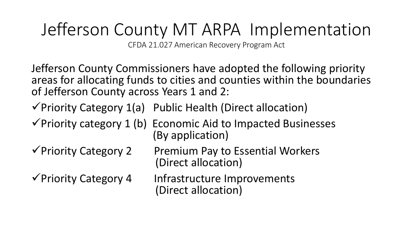## Jefferson County MT ARPA Implementation

CFDA 21.027 American Recovery Program Act

Jefferson County Commissioners have adopted the following priority areas for allocating funds to cities and counties within the boundaries of Jefferson County across Years 1 and 2:

 $\checkmark$  Priority Category 1(a) Public Health (Direct allocation)

 $\checkmark$  Priority category 1 (b) Economic Aid to Impacted Businesses (By application)

 $\sqrt{P}$  Priority Category 2 Premium Pay to Essential Workers (Direct allocation)

 $\sqrt{\frac{P}{P}}$ Priority Category 4 Infrastructure Improvements (Direct allocation)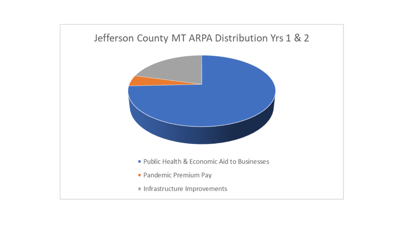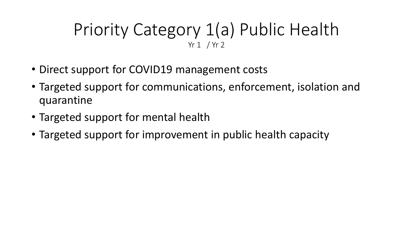#### Priority Category 1(a) Public Health Yr 1 / Yr 2

- Direct support for COVID19 management costs
- Targeted support for communications, enforcement, isolation and quarantine
- Targeted support for mental health
- Targeted support for improvement in public health capacity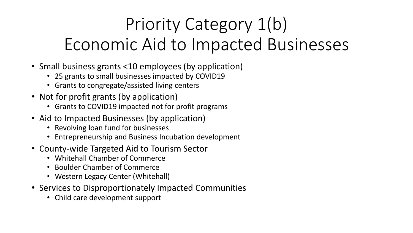# Priority Category 1(b) Economic Aid to Impacted Businesses

- Small business grants <10 employees (by application)
	- 25 grants to small businesses impacted by COVID19
	- Grants to congregate/assisted living centers
- Not for profit grants (by application)
	- Grants to COVID19 impacted not for profit programs
- Aid to Impacted Businesses (by application)
	- Revolving loan fund for businesses
	- Entrepreneurship and Business Incubation development
- County-wide Targeted Aid to Tourism Sector
	- Whitehall Chamber of Commerce
	- Boulder Chamber of Commerce
	- Western Legacy Center (Whitehall)
- Services to Disproportionately Impacted Communities
	- Child care development support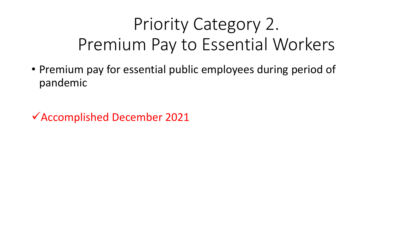# Priority Category 2. Premium Pay to Essential Workers

• Premium pay for essential public employees during period of pandemic

Accomplished December 2021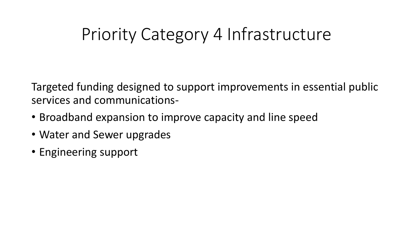### Priority Category 4 Infrastructure

Targeted funding designed to support improvements in essential public services and communications-

- Broadband expansion to improve capacity and line speed
- Water and Sewer upgrades
- Engineering support